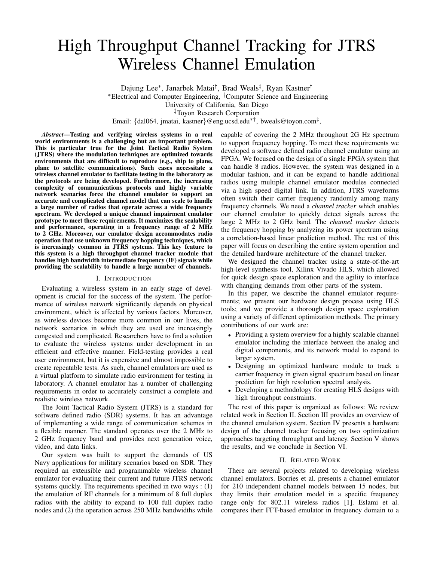# High Throughput Channel Tracking for JTRS Wireless Channel Emulation

Dajung Lee<sup>∗</sup>, Janarbek Matai<sup>†</sup>, Brad Weals<sup>‡</sup>, Ryan Kastner<sup>†</sup>

<sup>∗</sup>Electrical and Computer Engineering, †Computer Science and Engineering

University of California, San Diego

‡Toyon Research Corporation

Email: {dal064, jmatai, kastner}@eng.ucsd.edu∗†, bweals@toyon.com‡ ,

*Abstract*—Testing and verifying wireless systems in a real world environments is a challenging but an important problem. This is particular true for the Joint Tactical Radio System (JTRS) where the modulation techniques are optimized towards environments that are difficult to reproduce (e.g., ship to plane, plane to satellite communications). Such cases necessitate a wireless channel emulator to facilitate testing in the laboratory as the protocols are being developed. Furthermore, the increasing complexity of communications protocols and highly variable network scenarios force the channel emulator to support an accurate and complicated channel model that can scale to handle a large number of radios that operate across a wide frequency spectrum. We developed a unique channel impairment emulator prototype to meet these requirements. It maximizes the scalability and performance, operating in a frequency range of 2 MHz to 2 GHz. Moreover, our emulator design accommodates radio operation that use unknown frequency hopping techniques, which is increasingly common in JTRS systems. This key feature to this system is a high throughput channel tracker module that handles high bandwidth intermediate frequency (IF) signals while providing the scalability to handle a large number of channels.

## I. INTRODUCTION

Evaluating a wireless system in an early stage of development is crucial for the success of the system. The performance of wireless network significantly depends on physical environment, which is affected by various factors. Moreover, as wireless devices become more common in our lives, the network scenarios in which they are used are increasingly congested and complicated. Researchers have to find a solution to evaluate the wireless systems under development in an efficient and effective manner. Field-testing provides a real user environment, but it is expensive and almost impossible to create repeatable tests. As such, channel emulators are used as a virtual platform to simulate radio environment for testing in laboratory. A channel emulator has a number of challenging requirements in order to accurately construct a complete and realistic wireless network.

The Joint Tactical Radio System (JTRS) is a standard for software defined radio (SDR) systems. It has an advantage of implementing a wide range of communication schemes in a flexible manner. The standard operates over the 2 MHz to 2 GHz frequency band and provides next generation voice, video, and data links.

Our system was built to support the demands of US Navy applications for military scenarios based on SDR. They required an extensible and programmable wireless channel emulator for evaluating their current and future JTRS network systems quickly. The requirements specified in two ways : (1) the emulation of RF channels for a minimum of 8 full duplex radios with the ability to expand to 100 full duplex radio nodes and (2) the operation across 250 MHz bandwidths while

capable of covering the 2 MHz throughout 2G Hz spectrum to support frequency hopping. To meet these requirements we developed a software defined radio channel emulator using an FPGA. We focused on the design of a single FPGA system that can handle 8 radios. However, the system was designed in a modular fashion, and it can be expand to handle additional radios using multiple channel emulator modules connected via a high speed digital link. In addition, JTRS waveforms often switch their carrier frequency randomly among many frequency channels. We need a *channel tracker* which enables our channel emulator to quickly detect signals across the large 2 MHz to 2 GHz band. The *channel tracker* detects the frequency hopping by analyzing its power spectrum using a correlation-based linear prediction method. The rest of this paper will focus on describing the entire system operation and the detailed hardware architecture of the channel tracker.

We designed the channel tracker using a state-of-the-art high-level synthesis tool, Xilinx Vivado HLS, which allowed for quick design space exploration and the agility to interface with changing demands from other parts of the system.

In this paper, we describe the channel emulator requirements; we present our hardware design process using HLS tools; and we provide a thorough design space exploration using a variety of different optimization methods. The primary contributions of our work are:

- Providing a system overview for a highly scalable channel emulator including the interface between the analog and digital components, and its network model to expand to larger system.
- Designing an optimized hardware module to track a carrier frequency in given signal spectrum based on linear prediction for high resolution spectral analysis.
- Developing a methodology for creating HLS designs with high throughput constraints.

The rest of this paper is organized as follows: We review related work in Section II. Section III provides an overview of the channel emulation system. Section IV presents a hardware design of the channel tracker focusing on two optimization approaches targeting throughput and latency. Section V shows the results, and we conclude in Section VI.

# II. RELATED WORK

There are several projects related to developing wireless channel emulators. Borries et al. presents a channel emulator for 210 independent channel models between 15 nodes, but they limits their emulation model in a specific frequency range only for 802.11 wireless radios [1]. Eslami et al. compares their FFT-based emulator in frequency domain to a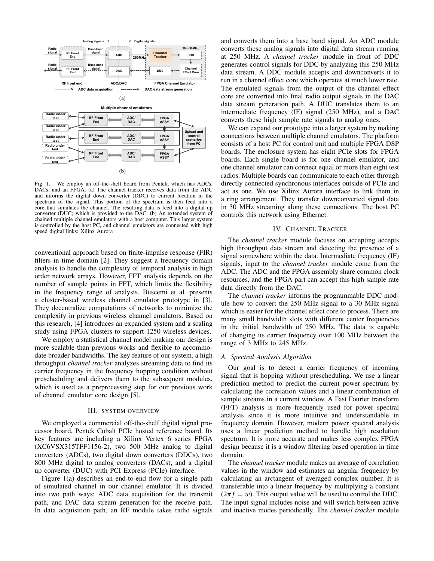

Fig. 1. We employ an off-the-shelf board from Pentek, which has ADCs, DACs, and an FPGA. (a) The channel tracker receives data from the ADC and informs the digital down converter (DDC) to current location in the spectrum of the signal. This portion of the spectrum is then feed into a core that simulates the channel. The resulting data is feed into a digital up converter (DUC) which is provided to the DAC. (b) An extended system of chained multiple channel emulators with a host computer. This larger system is controlled by the host PC, and channel emulators are connected with high speed digital links: Xilinx Aurora

conventional approach based on finite-impulse response (FIR) filters in time domain [2]. They suggest a frequency domain analysis to handle the complexity of temporal analysis in high order network arrays. However, FFT analysis depends on the number of sample points in FFT, which limits the flexibility in the frequency range of analysis. Buscemi et al. presents a cluster-based wireless channel emulator prototype in [3]. They decentralize computations of networks to minimize the complexity in previous wireless channel emulators. Based on this research, [4] introduces an expanded system and a scaling study using FPGA clusters to support 1250 wireless devices.

We employ a statistical channel model making our design is more scalable than previous works and flexible to accommodate broader bandwidths. The key feature of our system, a high throughput *channel tracker* analyzes streaming data to find its carrier frequency in the frequency hopping condition without prescheduling and delivers them to the subsequent modules, which is used as a preprocessing step for our previous work of channel emulator core design [5].

#### III. SYSTEM OVERVIEW

We employed a commercial off-the-shelf digital signal processor board, Pentek Cobalt PCIe hosted reference board. Its key features are including a Xilinx Vertex 6 series FPGA (XC6VSX315TFF1156-2), two 500 MHz analog to digital converters (ADCs), two digital down converters (DDCs), two 800 MHz digital to analog converters (DACs), and a digital up converter (DUC) with PCI Express (PCIe) interface.

Figure 1(a) describes an end-to-end flow for a single path of simulated channel in our channel emulator. It is divided into two path ways: ADC data acquisition for the transmit path, and DAC data stream generation for the receive path. In data acquisition path, an RF module takes radio signals and converts them into a base band signal. An ADC module converts these analog signals into digital data stream running at 250 MHz. A *channel tracker* module in front of DDC generates control signals for DDC by analyzing this 250 MHz data stream. A DDC module accepts and downconverts it to run in a channel effect core which operates at much lower rate. The emulated signals from the output of the channel effect core are converted into final radio output signals in the DAC data stream generation path. A DUC translates them to an intermediate frequency (IF) signal (250 MHz), and a DAC converts these high sample rate signals to analog ones.

We can expand our prototype into a larger system by making connections between multiple channel emulators. The platform consists of a host PC for control unit and multiple FPGA DSP boards. The enclosure system has eight PCIe slots for FPGA boards. Each single board is for one channel emulator, and one channel emulator can connect equal or more than eight test radios. Multiple boards can communicate to each other through directly connected synchronous interfaces outside of PCIe and act as one. We use Xilinx Aurora interface to link them in a ring arrangement. They transfer downconverted signal data in 30 MHz streaming along these connections. The host PC controls this network using Ethernet.

## IV. CHANNEL TRACKER

The *channel tracker* module focuses on accepting accepts high throughput data stream and detecting the presence of a signal somewhere within the data. Intermediate frequency (IF) signals, input to the *channel tracker* module come from the ADC. The ADC and the FPGA assembly share common clock resources, and the FPGA part can accept this high sample rate data directly from the DAC.

The *channel tracker* informs the programmable DDC module how to convert the 250 MHz signal to a 30 MHz signal which is easier for the channel effect core to process. There are many small bandwidth slots with different center frequencies in the initial bandwidth of 250 MHz. The data is capable of changing its carrier frequency over 100 MHz between the range of 3 MHz to 245 MHz.

## *A. Spectral Analysis Algorithm*

Our goal is to detect a carrier frequency of incoming signal that is hopping without prescheduling. We use a linear prediction method to predict the current power spectrum by calculating the correlation values and a linear combination of sample streams in a current window. A Fast Fourier transform (FFT) analysis is more frequently used for power spectral analysis since it is more intuitive and understandable in frequency domain. However, modern power spectral analysis uses a linear prediction method to handle high resolution spectrum. It is more accurate and makes less complex FPGA design because it is a window filtering based operation in time domain.

The *channel tracker* module makes an average of correlation values in the window and estimates an angular frequency by calculating an arctangent of averaged complex number. It is transferable into a linear frequency by multiplying a constant  $(2\pi f = w)$ . This output value will be used to control the DDC. The input signal includes noise and will switch between active and inactive modes periodically. The *channel tracker* module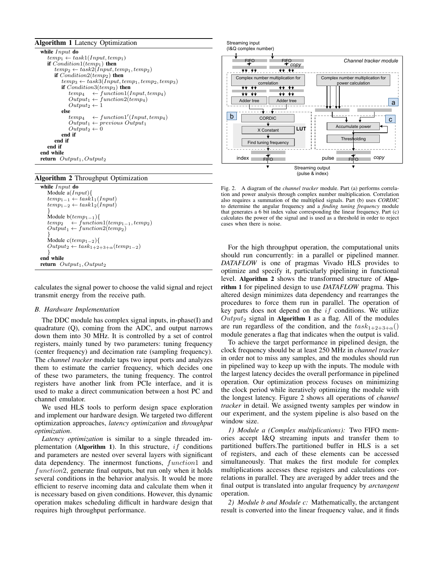# Algorithm 1 Latency Optimization

| while $Input$ do                                         |  |  |  |  |
|----------------------------------------------------------|--|--|--|--|
| $temp_1 \leftarrow task1(Input, temp_1)$                 |  |  |  |  |
| if $Condition1temp_1)$ then                              |  |  |  |  |
| $temp_2 \leftarrow task2(Input, temp_1, temp_2)$         |  |  |  |  |
| if $Condition2temp_2)$ then                              |  |  |  |  |
| $temp_3 \leftarrow task3(Input, temp_1, temp_2, temp_3)$ |  |  |  |  |
| if $Condition3temp_3)$ then                              |  |  |  |  |
| $temp_4 \leftarrow function1(Input, temp_4)$             |  |  |  |  |
| $Output_1 \leftarrow function2temp_4)$                   |  |  |  |  |
| $Output_2 \leftarrow 1$                                  |  |  |  |  |
| else                                                     |  |  |  |  |
| $temp_4 \leftarrow function1'(Input, temp_4)$            |  |  |  |  |
| $Output_1 \leftarrow previous\ Output_1$                 |  |  |  |  |
| $Output_2 \leftarrow 0$                                  |  |  |  |  |
| end if                                                   |  |  |  |  |
| end if                                                   |  |  |  |  |
| end if                                                   |  |  |  |  |
| end while                                                |  |  |  |  |
| <b>return</b> $Output_1, Output_2$                       |  |  |  |  |

### Algorithm 2 Throughput Optimization

```
while Input do
  Module a(Input){
   temp_{1-1} \leftarrow task1_1(Input)temp_{1-2} \leftarrow task1_2(Input)}
   Module b(temp_{1-1}){
   temp_2 \quad \leftarrow function1temp_{1-1}, temp_2)Output_1 \leftarrow function2temp_2)}
   Module c(temp_{1-2}){
   Output_2 \leftarrow task_{1+2+3+\alpha} (temp_{1-2})}
end while
return Output_1, Output_2
```
calculates the signal power to choose the valid signal and reject transmit energy from the receive path.

#### *B. Hardware Implementation*

The DDC module has complex signal inputs, in-phase(I) and quadrature (Q), coming from the ADC, and output narrows down them into 30 MHz. It is controlled by a set of control registers, mainly tuned by two parameters: tuning frequency (center frequency) and decimation rate (sampling frequency). The *channel tracker* module taps two input ports and analyzes them to estimate the carrier frequency, which decides one of these two parameters, the tuning frequency. The control registers have another link from PCIe interface, and it is used to make a direct communication between a host PC and channel emulator.

We used HLS tools to perform design space exploration and implement our hardware design. We targeted two different optimization approaches, *latency optimization* and *throughput optimization*.

*Latency optimization* is similar to a single threaded implementation (Algorithm 1). In this structure,  $if$  conditions and parameters are nested over several layers with significant data dependency. The innermost functions, function1 and function2, generate final outputs, but run only when it holds several conditions in the behavior analysis. It would be more efficient to reserve incoming data and calculate them when it is necessary based on given conditions. However, this dynamic operation makes scheduling difficult in hardware design that requires high throughput performance.



Fig. 2. A diagram of the *channel tracker* module. Part (a) performs correlation and power analysis through complex number multiplication. Correlation also requires a summation of the multiplied signals. Part (b) uses *CORDIC* to determine the angular frequency and a *finding tuning frequency* module that generates a 6 bit index value corresponding the linear frequency. Part (c) calculates the power of the signal and is used as a threshold in order to reject cases when there is noise.

For the high throughput operation, the computational units should run concurrently: in a parallel or pipelined manner. *DATAFLOW* is one of pragmas Vivado HLS provides to optimize and specify it, particularly pipelining in functional level. Algorithm 2 shows the transformed structure of Algorithm 1 for pipelined design to use *DATAFLOW* pragma. This altered design minimizes data dependency and rearranges the procedures to force them run in parallel. The operation of key parts does not depend on the  $if$  conditions. We utilize  $Output_2$  signal in Algorithm 1 as a flag. All of the modules are run regardless of the condition, and the  $task_{1+2+3+\alpha}()$ module generates a flag that indicates when the output is valid.

To achieve the target performance in pipelined design, the clock frequency should be at least 250 MHz in *channel tracker* in order not to miss any samples, and the modules should run in pipelined way to keep up with the inputs. The module with the largest latency decides the overall performance in pipelined operation. Our optimization process focuses on minimizing the clock period while iteratively optimizing the module with the longest latency. Figure 2 shows all operations of *channel tracker* in detail. We assigned twenty samples per window in our experiment, and the system pipeline is also based on the window size.

*1) Module a (Complex multiplications):* Two FIFO memories accept I&Q streaming inputs and transfer them to partitioned buffers.The partitioned buffer in HLS is a set of registers, and each of these elements can be accessed simultaneously. That makes the first module for complex multiplications accesses these registers and calculations correlations in parallel. They are averaged by adder trees and the final output is translated into angular frequency by *arctangent* operation.

*2) Module b and Module c:* Mathematically, the arctangent result is converted into the linear frequency value, and it finds